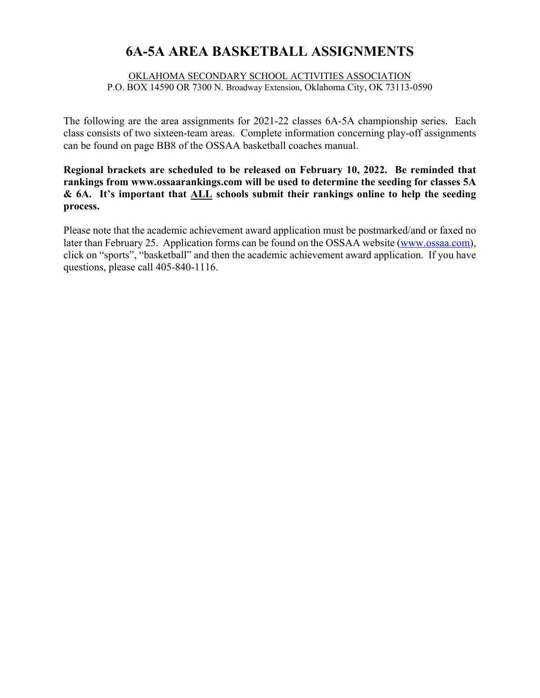# **6A-5A AREA BASKETBALL ASSIGNMENTS**

#### OKLAHOMA SECONDARY SCHOOL ACTIVITIES ASSOCIATION P.O. BOX 14590 OR 7300 N. Broadway Extension, Oklahoma City, OK 73113-0590

The following are the area assignments for 2021-22 classes 6A-5A championship series. Each class consists of two sixteen-team areas. Complete information concerning play-off assignments can be found on page BB8 of the OSSAA basketball coaches manual.

**Regional brackets are scheduled to be released on February 10, 2022. Be reminded that rankings from www.ossaarankings.com will be used to determine the seeding for classes 5A & 6A. It's important that ALL schools submit their rankings online to help the seeding process.**

Please note that the academic achievement award application must be postmarked/and or faxed no later than February 25. Application forms can be found on the OSSAA website (www.ossaa.com), click on "sports", "basketball" and then the academic achievement award application. If you have questions, please call 405-840-1116.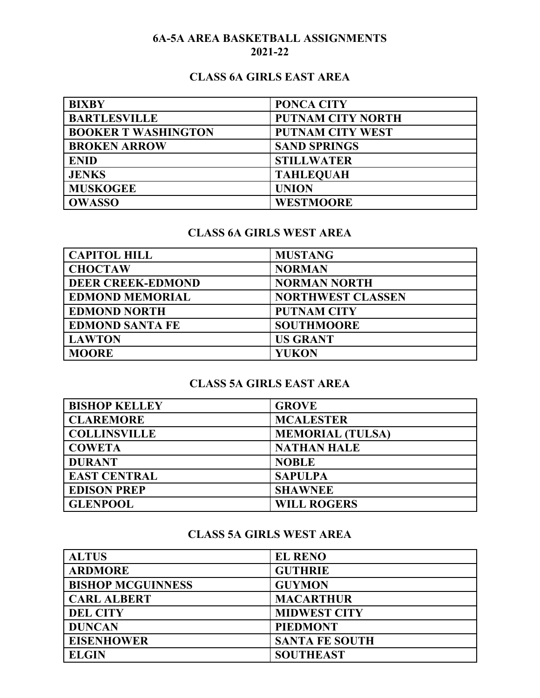### **6A-5A AREA BASKETBALL ASSIGNMENTS 2021-22**

### **CLASS 6A GIRLS EAST AREA**

| <b>BIXBY</b>               | <b>PONCA CITY</b>        |
|----------------------------|--------------------------|
| <b>BARTLESVILLE</b>        | <b>PUTNAM CITY NORTH</b> |
| <b>BOOKER T WASHINGTON</b> | <b>PUTNAM CITY WEST</b>  |
| <b>BROKEN ARROW</b>        | <b>SAND SPRINGS</b>      |
| <b>ENID</b>                | <b>STILLWATER</b>        |
| <b>JENKS</b>               | <b>TAHLEQUAH</b>         |
| <b>MUSKOGEE</b>            | <b>UNION</b>             |
| <b>OWASSO</b>              | <b>WESTMOORE</b>         |

### **CLASS 6A GIRLS WEST AREA**

| <b>CAPITOL HILL</b>      | <b>MUSTANG</b>           |
|--------------------------|--------------------------|
| <b>CHOCTAW</b>           | <b>NORMAN</b>            |
| <b>DEER CREEK-EDMOND</b> | <b>NORMAN NORTH</b>      |
| <b>EDMOND MEMORIAL</b>   | <b>NORTHWEST CLASSEN</b> |
| <b>EDMOND NORTH</b>      | <b>PUTNAM CITY</b>       |
| <b>EDMOND SANTA FE</b>   | <b>SOUTHMOORE</b>        |
| <b>LAWTON</b>            | <b>US GRANT</b>          |
| <b>MOORE</b>             | <b>YUKON</b>             |

### **CLASS 5A GIRLS EAST AREA**

| <b>BISHOP KELLEY</b> | <b>GROVE</b>            |
|----------------------|-------------------------|
| <b>CLAREMORE</b>     | <b>MCALESTER</b>        |
| <b>COLLINSVILLE</b>  | <b>MEMORIAL (TULSA)</b> |
| <b>COWETA</b>        | <b>NATHAN HALE</b>      |
| <b>DURANT</b>        | <b>NOBLE</b>            |
| <b>EAST CENTRAL</b>  | <b>SAPULPA</b>          |
| <b>EDISON PREP</b>   | <b>SHAWNEE</b>          |
| <b>GLENPOOL</b>      | <b>WILL ROGERS</b>      |

## **CLASS 5A GIRLS WEST AREA**

| <b>ALTUS</b>             | <b>EL RENO</b>        |
|--------------------------|-----------------------|
| <b>ARDMORE</b>           | <b>GUTHRIE</b>        |
| <b>BISHOP MCGUINNESS</b> | <b>GUYMON</b>         |
| <b>CARL ALBERT</b>       | <b>MACARTHUR</b>      |
| <b>DEL CITY</b>          | <b>MIDWEST CITY</b>   |
| <b>DUNCAN</b>            | <b>PIEDMONT</b>       |
| <b>EISENHOWER</b>        | <b>SANTA FE SOUTH</b> |
| <b>ELGIN</b>             | <b>SOUTHEAST</b>      |